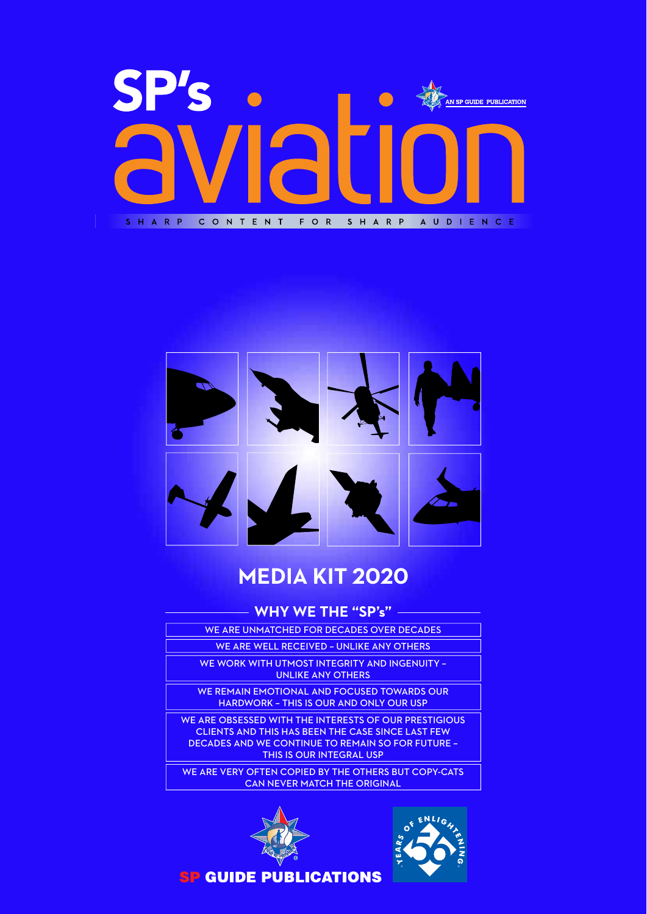



### **MEDIA KIT 2020**

#### **WHY WE THE "SP's"**

- WE ARE UNMATCHED FOR DECADES OVER DECADES
	- WE ARE WELL RECEIVED UNLIKE ANY OTHERS
	- WE WORK WITH UTMOST INTEGRITY AND INGENUITY UNLIKE ANY OTHERS

WE REMAIN EMOTIONAL AND FOCUSED TOWARDS OUR

HARDWORK – THIS IS OUR AND ONLY OUR USP

WE ARE OBSESSED WITH THE INTERESTS OF OUR PRESTIGIOUS CLIENTS AND THIS HAS BEEN THE CASE SINCE LAST FEW DECADES AND WE CONTINUE TO REMAIN SO FOR FUTURE – THIS IS OUR INTEGRAL USP

WE ARE VERY OFTEN COPIED BY THE OTHERS BUT COPY-CATS CAN NEVER MATCH THE ORIGINAL





**SP GUIDE PUBLICATIONS**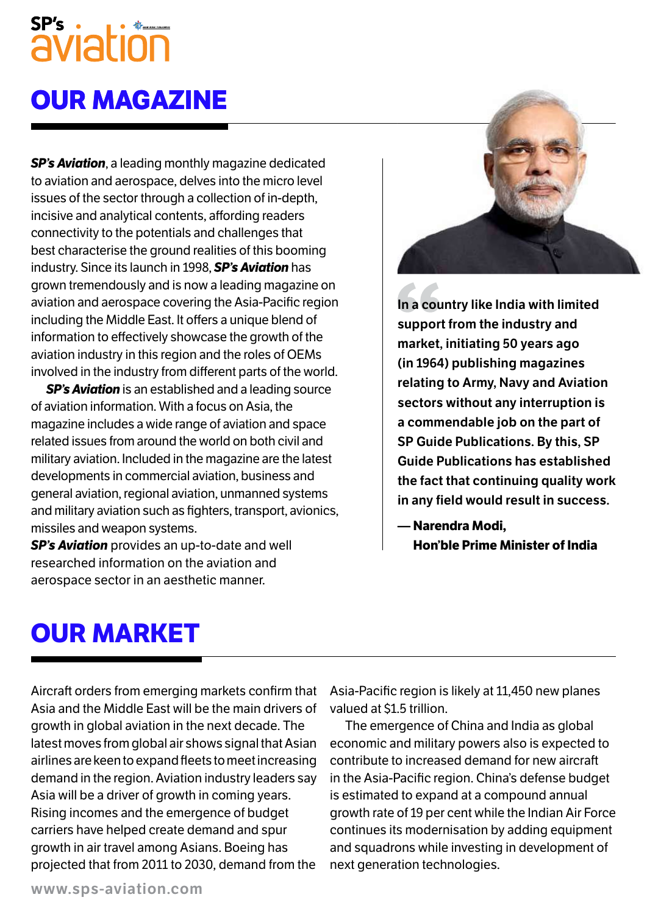# aviation

## **oUR maGazine**

*SP's Aviation*, a leading monthly magazine dedicated to aviation and aerospace, delves into the micro level issues of the sector through a collection of in-depth, incisive and analytical contents, affording readers connectivity to the potentials and challenges that best characterise the ground realities of this booming industry. Since its launch in 1998, *SP's Aviation* has grown tremendously and is now a leading magazine on aviation and aerospace covering the Asia-Pacific region including the Middle East. It offers a unique blend of information to effectively showcase the growth of the aviation industry in this region and the roles of OEMs involved in the industry from different parts of the world.

*SP's Aviation* is an established and a leading source of aviation information. With a focus on Asia, the magazine includes a wide range of aviation and space related issues from around the world on both civil and military aviation. Included in the magazine are the latest developments in commercial aviation, business and general aviation, regional aviation, unmanned systems and military aviation such as fighters, transport, avionics, missiles and weapon systems.

*SP's Aviation* provides an up-to-date and well researched information on the aviation and aerospace sector in an aesthetic manner.



**In a country like India with limited support from the industry and market, initiating 50 years ago (in 1964) publishing magazines relating to Army, Navy and Aviation sectors without any interruption is a commendable job on the part of SP Guide Publications. By this, SP Guide Publications has established the fact that continuing quality work in any field would result in success.**

**— narendra modi, hon'ble Prime minister of india**

## **oUR maRKet**

Aircraft orders from emerging markets confirm that Asia and the Middle East will be the main drivers of growth in global aviation in the next decade. The latest moves from global air shows signal that Asian airlines are keen to expand fleets to meet increasing demand in the region. Aviation industry leaders say Asia will be a driver of growth in coming years. Rising incomes and the emergence of budget carriers have helped create demand and spur growth in air travel among Asians. Boeing has projected that from 2011 to 2030, demand from the

Asia-Pacific region is likely at 11,450 new planes valued at \$1.5 trillion.

The emergence of China and India as global economic and military powers also is expected to contribute to increased demand for new aircraft in the Asia-Pacific region. China's defense budget is estimated to expand at a compound annual growth rate of 19 per cent while the Indian Air Force continues its modernisation by adding equipment and squadrons while investing in development of next generation technologies.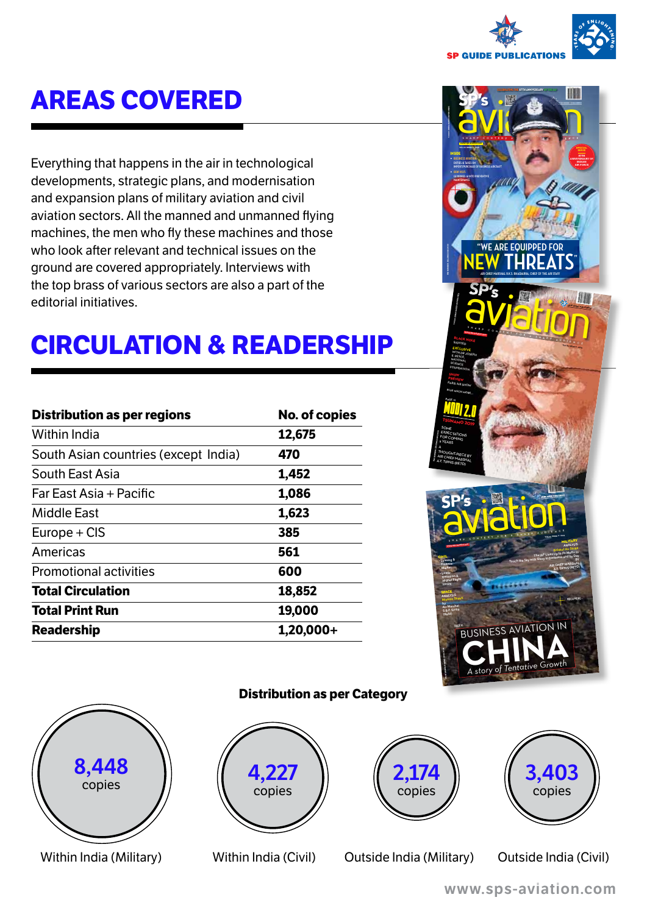

## **aReas CoVeReD**

Everything that happens in the air in technological developments, strategic plans, and modernisation and expansion plans of military aviation and civil aviation sectors. All the manned and unmanned flying machines, the men who fly these machines and those who look after relevant and technical issues on the ground are covered appropriately. Interviews with the top brass of various sectors are also a part of the editorial initiatives.

## **CiRCUlation & ReaDeRshiP**

| <b>Distribution as per regions</b>   | <b>No. of copies</b> |
|--------------------------------------|----------------------|
| <b>Within India</b>                  | 12,675               |
| South Asian countries (except India) | 470                  |
| South East Asia                      | 1,452                |
| Far East Asia + Pacific              | 1,086                |
| Middle East                          | 1,623                |
| Europe + CIS                         | 385                  |
| Americas                             | 561                  |
| <b>Promotional activities</b>        | 600                  |
| <b>Total Circulation</b>             | 18,852               |
| <b>Total Print Run</b>               | 19,000               |
| <b>Readership</b>                    | $1,20,000+$          |





#### **Distribution as per Category**







Within India (Military) Within India (Civil) Outside India (Military) Outside India (Civil)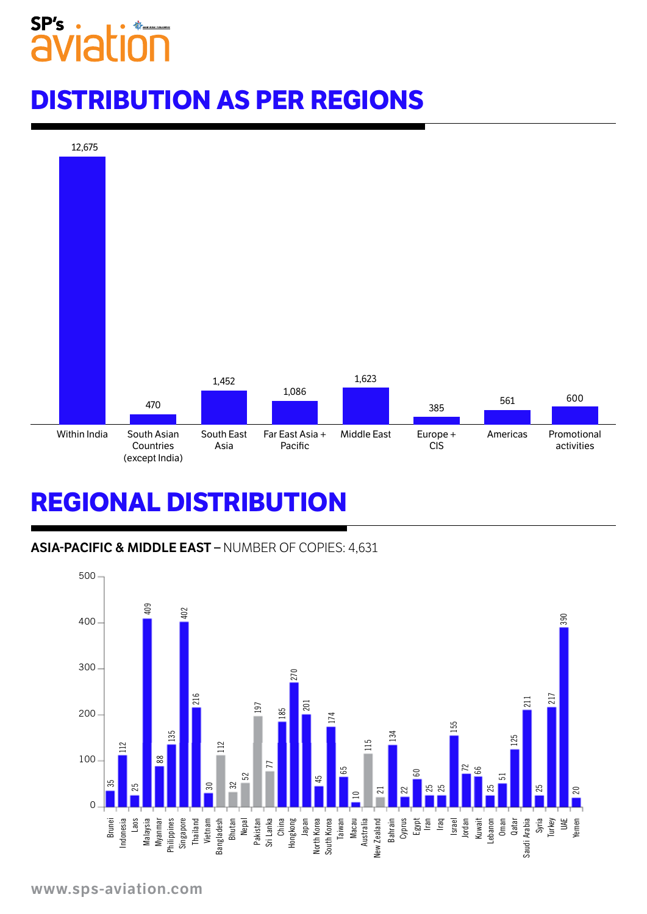## SP's

## **DistRiBUtion as PeR ReGions**



## **ReGional DistRiBUtion**

#### **ASIA-PACIFIC & MIDDLE EAST –** NUMBER OF COPIES: 4,631

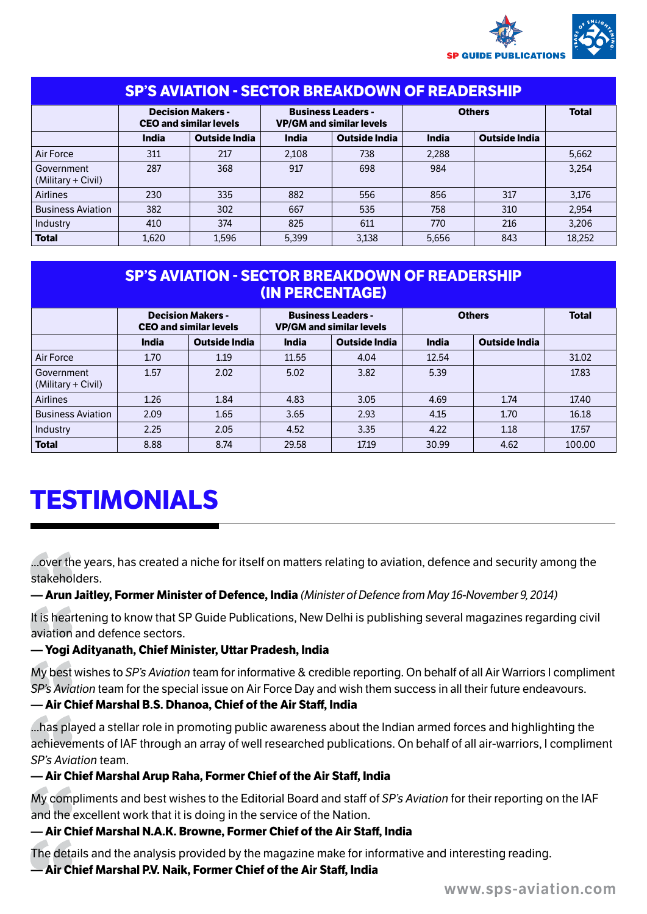

| <b>SP'S AVIATION - SECTOR BREAKDOWN OF READERSHIP</b> |                                                           |                      |                                                              |                      |               |                      |              |  |  |  |
|-------------------------------------------------------|-----------------------------------------------------------|----------------------|--------------------------------------------------------------|----------------------|---------------|----------------------|--------------|--|--|--|
|                                                       | <b>Decision Makers -</b><br><b>CEO and similar levels</b> |                      | <b>Business Leaders -</b><br><b>VP/GM and similar levels</b> |                      | <b>Others</b> |                      | <b>Total</b> |  |  |  |
|                                                       | India                                                     | <b>Outside India</b> | India                                                        | <b>Outside India</b> | India         | <b>Outside India</b> |              |  |  |  |
| Air Force                                             | 311                                                       | 217                  | 2.108                                                        | 738                  | 2.288         |                      | 5.662        |  |  |  |
| Government<br>(Military + Civil)                      | 287                                                       | 368                  | 917                                                          | 698                  | 984           |                      | 3.254        |  |  |  |
| <b>Airlines</b>                                       | 230                                                       | 335                  | 882                                                          | 556                  | 856           | 317                  | 3.176        |  |  |  |
| <b>Business Aviation</b>                              | 382                                                       | 302                  | 667                                                          | 535                  | 758           | 310                  | 2.954        |  |  |  |
| Industry                                              | 410                                                       | 374                  | 825                                                          | 611                  | 770           | 216                  | 3.206        |  |  |  |
| <b>Total</b>                                          | 1.620                                                     | 1,596                | 5,399                                                        | 3,138                | 5,656         | 843                  | 18,252       |  |  |  |

### **SP's Aviation - Sector Breakdown of Readership (in Percentage)**

|                                  | <b>Decision Makers -</b><br><b>CEO and similar levels</b> |                      | <b>Business Leaders -</b><br><b>VP/GM and similar levels</b> |               | <b>Others</b> |                      | <b>Total</b> |
|----------------------------------|-----------------------------------------------------------|----------------------|--------------------------------------------------------------|---------------|---------------|----------------------|--------------|
|                                  | India                                                     | <b>Outside India</b> | India                                                        | Outside India | India         | <b>Outside India</b> |              |
| Air Force                        | 1.70                                                      | 1.19                 | 11.55                                                        | 4.04          | 12.54         |                      | 31.02        |
| Government<br>(Military + Civil) | 1.57                                                      | 2.02                 | 5.02                                                         | 3.82          | 5.39          |                      | 17.83        |
| <b>Airlines</b>                  | 1.26                                                      | 1.84                 | 4.83                                                         | 3.05          | 4.69          | 1.74                 | 17.40        |
| <b>Business Aviation</b>         | 2.09                                                      | 1.65                 | 3.65                                                         | 2.93          | 4.15          | 1.70                 | 16.18        |
| Industry                         | 2.25                                                      | 2.05                 | 4.52                                                         | 3.35          | 4.22          | 1.18                 | 17.57        |
| <b>Total</b>                     | 8.88                                                      | 8.74                 | 29.58                                                        | 17.19         | 30.99         | 4.62                 | 100.00       |

## **testimonials**

...over the years, has created a niche for itself on matters relating to aviation, defence and security among the stakeholders.

**— Arun Jaitley, Former Minister of Defence, India** *(Minister of Defence from May 16-November 9, 2014)*

It is heartening to know that SP Guide Publications, New Delhi is publishing several magazines regarding civil aviation and defence sectors.

#### **— Yogi Adityanath, Chief Minister, Uttar Pradesh, India**

My best wishes to *SP's Aviation* team for informative & credible reporting. On behalf of all Air Warriors I compliment *SP's Aviation* team for the special issue on Air Force Day and wish them success in all their future endeavours.

#### **— Air Chief Marshal B.S. Dhanoa, Chief of the Air Staff, India**

...has played a stellar role in promoting public awareness about the Indian armed forces and highlighting the achievements of IAF through an array of well researched publications. On behalf of all air-warriors, I compliment *SP's Aviation* team.

#### **— Air Chief Marshal Arup Raha, Former Chief of the Air Staff, India**

My compliments and best wishes to the Editorial Board and staff of *SP's Aviation* for their reporting on the IAF and the excellent work that it is doing in the service of the Nation.

#### **— Air Chief Marshal N.A.K. Browne, Former Chief of the Air Staff, India**

The details and the analysis provided by the magazine make for informative and interesting reading.

#### **— Air Chief Marshal P.V. Naik, Former Chief of the Air Staff, India**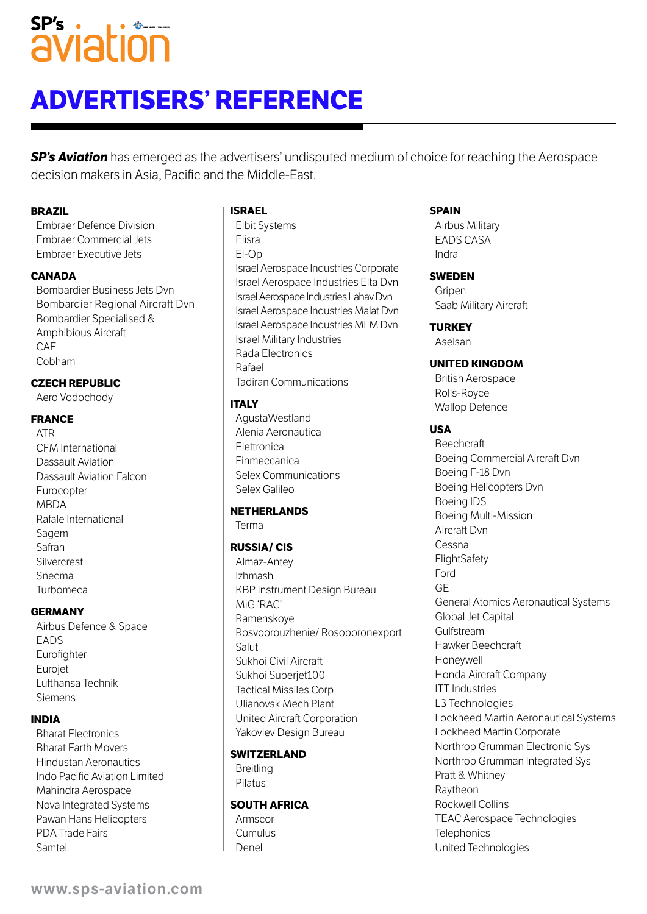## $SP's$ . se's iation

## **Advertisers' Reference**

**SP's Aviation** has emerged as the advertisers' undisputed medium of choice for reaching the Aerospace decision makers in Asia, Pacific and the Middle-East.

#### **Brazil**

Embraer Defence Division Embraer Commercial Jets Embraer Executive Jets

#### **Canada**

 Bombardier Business Jets Dvn Bombardier Regional Aircraft Dvn Bombardier Specialised & Amphibious Aircraft **CAF** Cobham

#### **Czech Republic**

Aero Vodochody

#### **France**

ATR CFM International Dassault Aviation Dassault Aviation Falcon Eurocopter MBDA Rafale International Sagem Safran **Silvercrest** Snecma Turbomeca

#### **Germany**

Airbus Defence & Space EADS Eurofighter Eurojet Lufthansa Technik Siemens

#### **India**

Bharat Electronics Bharat Earth Movers Hindustan Aeronautics Indo Pacific Aviation Limited Mahindra Aerospace Nova Integrated Systems Pawan Hans Helicopters PDA Trade Fairs Samtel

#### **Israel**

Elbit Systems Elisra El-Op Israel Aerospace Industries Corporate Israel Aerospace Industries Elta Dvn Israel Aerospace Industries Lahav Dvn Israel Aerospace Industries Malat Dvn Israel Aerospace Industries MLM Dvn Israel Military Industries Rada Electronics Rafael Tadiran Communications

#### **Italy**

AgustaWestland Alenia Aeronautica Elettronica Finmeccanica Selex Communications Selex Galileo

#### **Netherlands**

Terma

#### **Russia/ CIS**

Almaz-Antey Izhmash KBP Instrument Design Bureau MiG 'RAC' Ramenskoye Rosvoorouzhenie/ Rosoboronexport Salut Sukhoi Civil Aircraft Sukhoi Superjet100 Tactical Missiles Corp Ulianovsk Mech Plant United Aircraft Corporation Yakovlev Design Bureau

#### **Switzerland**

Breitling Pilatus

#### **South Africa**

Armscor Cumulus Denel

#### **Spain**

Airbus Military EADS CASA Indra

#### **Sweden**

Gripen Saab Military Aircraft

#### **Turkey**

Aselsan

#### **United Kingdom**

British Aerospace Rolls-Royce Wallop Defence

#### **USA**

**Beechcraft** Boeing Commercial Aircraft Dvn Boeing F-18 Dvn Boeing Helicopters Dvn Boeing IDS Boeing Multi-Mission Aircraft Dvn Cessna **FlightSafety** Ford GE General Atomics Aeronautical Systems Global Jet Capital Gulfstream Hawker Beechcraft Honeywell Honda Aircraft Company ITT Industries L3 Technologies Lockheed Martin Aeronautical Systems Lockheed Martin Corporate Northrop Grumman Electronic Sys Northrop Grumman Integrated Sys Pratt & Whitney Raytheon Rockwell Collins TEAC Aerospace Technologies **Telephonics** United Technologies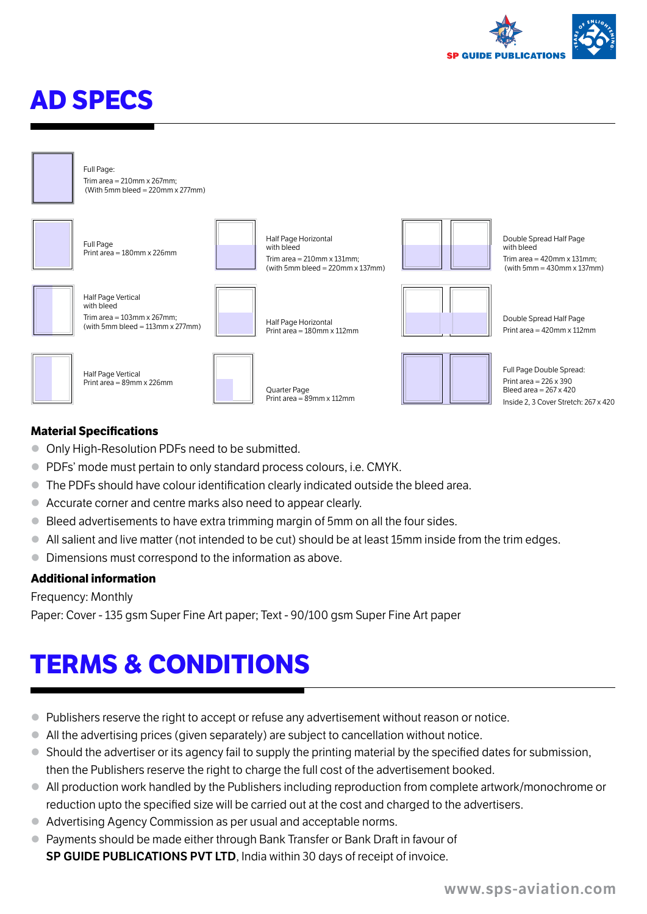

## **aD sPeCs**



#### Full Page: Trim area  $= 210$ mm x 267mm;  $(With 5mm bled = 220mm x 277mm)$



Full Page Print area = 180mm x 226mm Half Page Vertical with bleed Trim area  $= 103$ mm x 267mm; (with 5mm bleed =  $113$ mm x 277mm) Half Page Horizontal with blood Trim area  $= 210$ mm  $\times 131$ mm; (with 5mm bleed =  $220$ mm  $\times$  137mm) Half Page Horizontal Print area = 180mm x 112mm



Half Page Vertical Print area  $= 89$ mm y 226mm



Quarter Page Print area = 89mm x 112mm



Double Spread Half Page with bloom Trim area  $=$  420mm  $\times$  131mm;  $(with 5mm = 430mm \times 137mm)$ 



Double Spread Half Page Print area = 420mm x 112mm

Full Page Double Spread: Print area = 226 x 390 Bleed area = 267 x 420 Inside 2, 3 Cover Stretch: 267 x 420

#### **Material Specifications**

- $\bullet$  Only High-Resolution PDFs need to be submitted.
- **PDFs' mode must pertain to only standard process colours, i.e. CMYK.**
- The PDFs should have colour identification clearly indicated outside the bleed area.
- Accurate corner and centre marks also need to appear clearly.
- Bleed advertisements to have extra trimming margin of 5mm on all the four sides.
- All salient and live matter (not intended to be cut) should be at least 15mm inside from the trim edges.
- Dimensions must correspond to the information as above.

#### **additional information**

Frequency: Monthly

Paper: Cover - 135 gsm Super Fine Art paper; Text - 90/100 gsm Super Fine Art paper

## **teRms & ConDitions**

- **Publishers reserve the right to accept or refuse any advertisement without reason or notice.**
- All the advertising prices (given separately) are subject to cancellation without notice.
- Should the advertiser or its agency fail to supply the printing material by the specified dates for submission, then the Publishers reserve the right to charge the full cost of the advertisement booked.
- All production work handled by the Publishers including reproduction from complete artwork/monochrome or reduction upto the specified size will be carried out at the cost and charged to the advertisers.
- Advertising Agency Commission as per usual and acceptable norms.
- Payments should be made either through Bank Transfer or Bank Draft in favour of **SP GUIDE PUBLICATIONS PVT LTD**, India within 30 days of receipt of invoice.